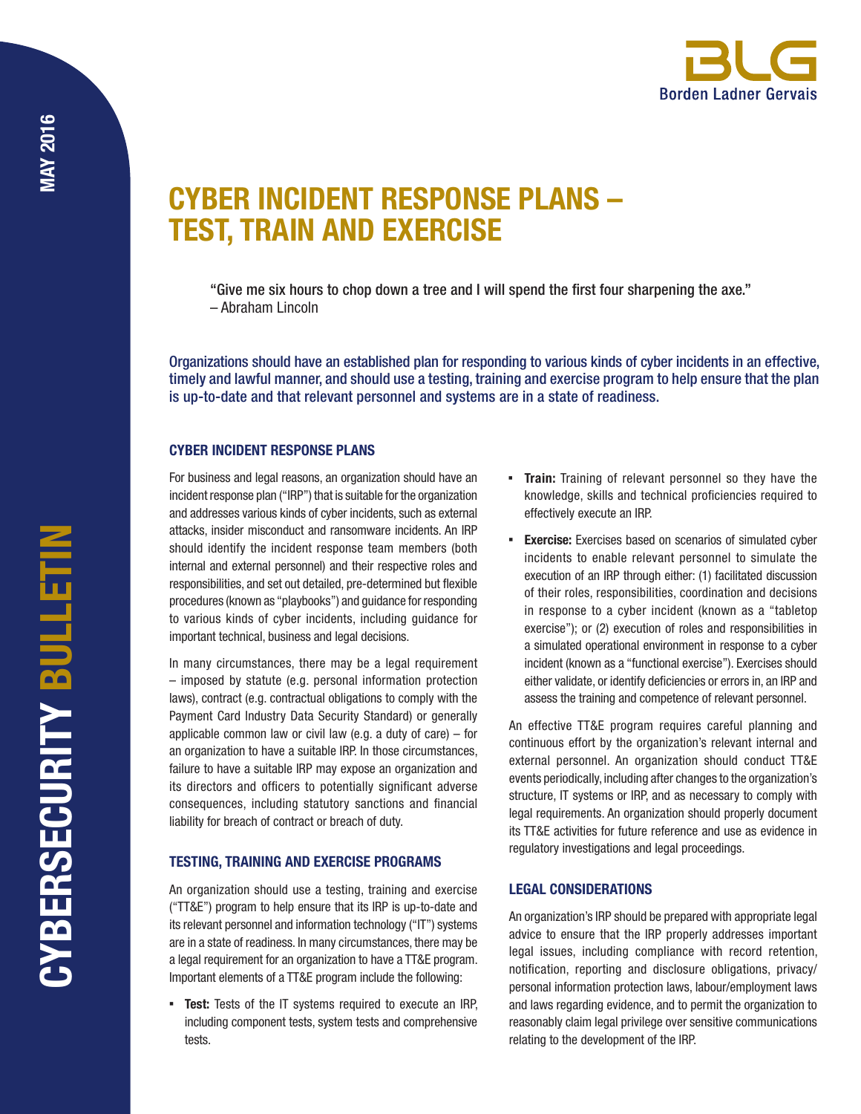

# CYBER INCIDENT RESPONSE PLANS – TEST, TRAIN AND EXERCISE

"Give me six hours to chop down a tree and I will spend the first four sharpening the axe." – Abraham Lincoln

Organizations should have an established plan for responding to various kinds of cyber incidents in an effective, timely and lawful manner, and should use a testing, training and exercise program to help ensure that the plan is up-to-date and that relevant personnel and systems are in a state of readiness.

## CYBER INCIDENT RESPONSE PLANS

For business and legal reasons, an organization should have an incident response plan ("IRP") that is suitable for the organization and addresses various kinds of cyber incidents, such as external attacks, insider misconduct and ransomware incidents. An IRP should identify the incident response team members (both internal and external personnel) and their respective roles and responsibilities, and set out detailed, pre-determined but flexible procedures (known as "playbooks") and guidance for responding to various kinds of cyber incidents, including guidance for important technical, business and legal decisions.

In many circumstances, there may be a legal requirement – imposed by statute (e.g. personal information protection laws), contract (e.g. contractual obligations to comply with the Payment Card Industry Data Security Standard) or generally applicable common law or civil law (e.g. a duty of care) – for an organization to have a suitable IRP. In those circumstances, failure to have a suitable IRP may expose an organization and its directors and officers to potentially significant adverse consequences, including statutory sanctions and financial liability for breach of contract or breach of duty.

## TESTING, TRAINING AND EXERCISE PROGRAMS

An organization should use a testing, training and exercise ("TT&E") program to help ensure that its IRP is up-to-date and its relevant personnel and information technology ("IT") systems are in a state of readiness. In many circumstances, there may be a legal requirement for an organization to have a TT&E program. Important elements of a TT&E program include the following:

**• Test:** Tests of the IT systems required to execute an IRP, including component tests, system tests and comprehensive tests.

- **Train:** Training of relevant personnel so they have the knowledge, skills and technical proficiencies required to effectively execute an IRP.
- **Exercise:** Exercises based on scenarios of simulated cyber incidents to enable relevant personnel to simulate the execution of an IRP through either: (1) facilitated discussion of their roles, responsibilities, coordination and decisions in response to a cyber incident (known as a "tabletop exercise"); or (2) execution of roles and responsibilities in a simulated operational environment in response to a cyber incident (known as a "functional exercise"). Exercises should either validate, or identify deficiencies or errors in, an IRP and assess the training and competence of relevant personnel.

An effective TT&E program requires careful planning and continuous effort by the organization's relevant internal and external personnel. An organization should conduct TT&E events periodically, including after changes to the organization's structure, IT systems or IRP, and as necessary to comply with legal requirements. An organization should properly document its TT&E activities for future reference and use as evidence in regulatory investigations and legal proceedings.

## LEGAL CONSIDERATIONS

An organization's IRP should be prepared with appropriate legal advice to ensure that the IRP properly addresses important legal issues, including compliance with record retention, notification, reporting and disclosure obligations, privacy/ personal information protection laws, labour/employment laws and laws regarding evidence, and to permit the organization to reasonably claim legal privilege over sensitive communications relating to the development of the IRP.